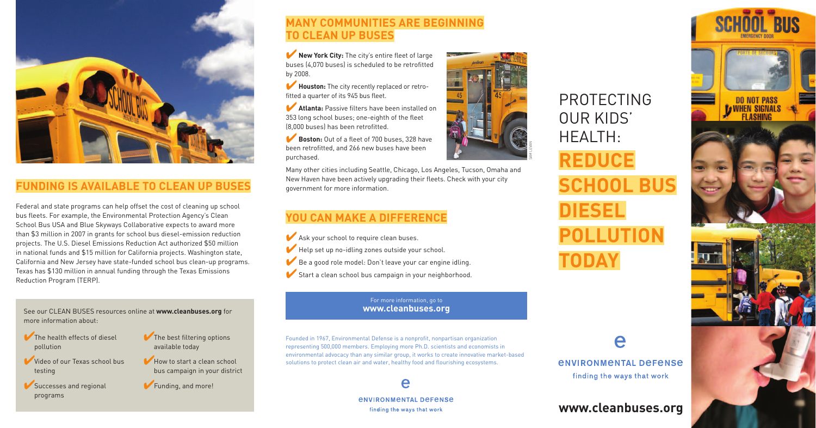PROTECTING OUR KIDS' **REDUCE SCHOOL BUS DIESEL POLLUTION**

# *<u>ENVIRONMENTAL DEFENSE</u>* finding the ways that work

e

# HEALTH: **TODAY**



# **FUNDING IS AVAILABLE TO CLEAN UP BUSES**

Federal and state programs can help offset the cost of cleaning up school bus fleets. For example, the Environmental Protection Agency's Clean School Bus USA and Blue Skyways Collaborative expects to award more than \$3 million in 2007 in grants for school bus diesel-emission reduction projects. The U.S. Diesel Emissions Reduction Act authorized \$50 million in national funds and \$15 million for California projects. Washington state, California and New Jersey have state-funded school bus clean-up programs. Texas has \$130 million in annual funding through the Texas Emissions Reduction Program (TERP).

**New York City:** The city's entire fleet of large buses (4,070 buses) is scheduled to be retrofitted by 2008.

**Atlanta:** Passive filters have been installed on 353 long school buses; one-eighth of the fleet (8,000 buses) has been retrofitted.

**Boston:** Out of a fleet of 700 buses, 328 have been retrofitted, and 266 new buses have been purchased.

# **MANY COMMUNITIES ARE BEGINNING TO CLEAN UP BUSES**

- Ask your school to require clean buses.
- ✔Help set up no-idling zones outside your school.
- ✔Be a good role model: Don't leave your car engine idling.
- ✔Start a clean school bus campaign in your neighborhood.

✔**Houston:** The city recently replaced or retrofitted a quarter of its 945 bus fleet.

- The health effects of diesel pollution
- Video of our Texas school bus testing
- Successes and regional programs
- The best filtering options available today
- How to start a clean school bus campaign in your district
- ✔Funding, and more!

Many other cities including Seattle, Chicago, Los Angeles, Tucson, Omaha and New Haven have been actively upgrading their fleets. Check with your city government for more information.

# **YOU CAN MAKE A DIFFERENCE**

Founded in 1967, Environmental Defense is a nonprofit, nonpartisan organization representing 500,000 members. Employing more Ph.D. scientists and economists in environmental advocacy than any similar group, it works to create innovative market-based solutions to protect clean air and water, healthy food and flourishing ecosystems.



*ENVIRONMENTAL DEFENSE* finding the ways that work

See our CLEAN BUSES resources online at **www.cleanbuses.org** for more information about:

# **www.cleanbuses.org**



# For more information, go to **www.cleanbuses.org**

SAM LEVAN